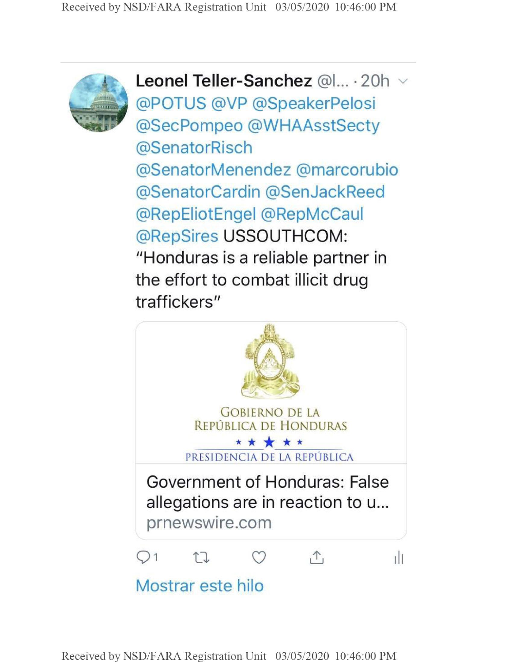

**Leonel Teller-Sanchez** @1... • 20h @POTUS @VP @SpeakerPelosi @SecPompeo @WHAAsstSecty @SenatorRisch @SenatorMenendez @marcorubio @SenatorCardin @SenJackReed @RepEliotEngel @RepMcCaul @RepSires USSOUTHCOM: "Honduras is a reliable partner in the effort to combat illicit drug traffickers"

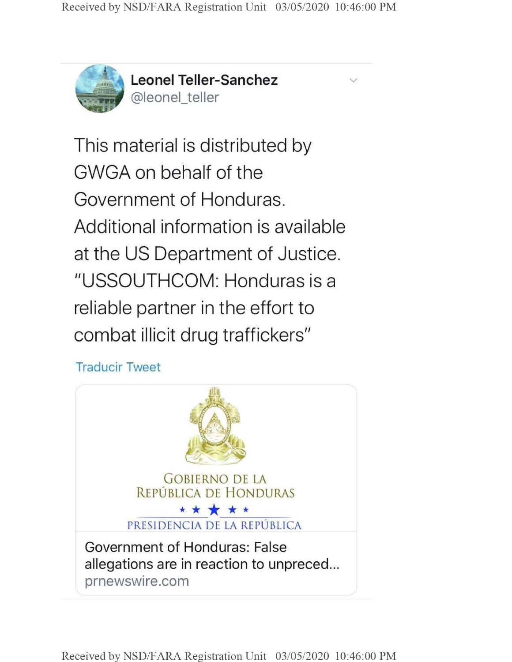$\vee$ 



<sup>Q</sup> *it* **Leonel Teller-Sanchez** @leonel\_teller

This material is distributed by GWGA on behalf of the Government of Honduras. Additional information is available at the US Department of Justice. "USSOUTHCOM: Honduras is a reliable partner in the effort to combat illicit drug traffickers"

**Traducir Tweet**



**Received by NSD/FARA Registration Unit 03/05/2020 10:46:00 PM**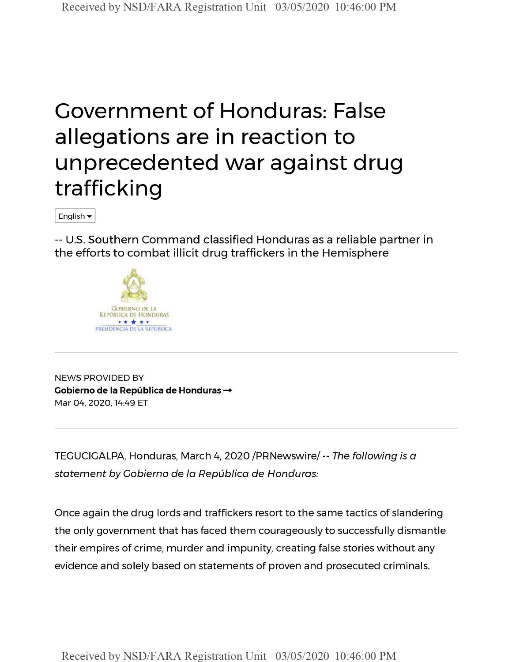## Government of Honduras: False allegations are in reaction to unprecedented war against drug trafficking

English

-- U.S. Southern Command classified Honduras as a reliable partner in the efforts to combat illicit drug traffickers in the Hemisphere



NEWS PROVIDED BY **Cobierno de la Pepublica de Honduras —** Mar 04, 2020,14:49 ET

TEGUCIGALPA, Honduras, March 4, 2020 /PRNewswire/-- *The following is a statement by Cobierno de la Republica de Honduras:*

Once again the drug lords and traffickers resort to the same tactics of slandering the only government that has faced them courageously to successfully dismantle their empires of crime, murder and impunity, creating false stories without any evidence and solely based on statements of proven and prosecuted criminals.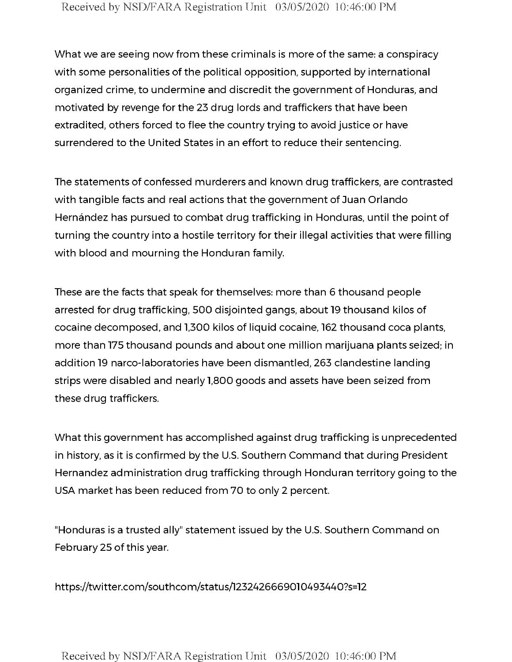What we are seeing now from these criminals is more of the same: a conspiracy with some personalities of the political opposition, supported by international organized crime, to undermine and discredit the government of Honduras, and motivated by revenge for the 23 drug lords and traffickers that have been extradited, others forced to flee the country trying to avoid justice or have surrendered to the United States in an effort to reduce their sentencing.

The statements of confessed murderers and known drug traffickers, are contrasted with tangible facts and real actions that the government of Juan Orlando Hernández has pursued to combat drug trafficking in Honduras, until the point of turning the country into a hostile territory for their illegal activities that were filling with blood and mourning the Honduran family.

These are the facts that speak for themselves: more than 6 thousand people arrested for drug trafficking, 500 disjointed gangs, about 19 thousand kilos of cocaine decomposed, and 1,300 kilos of liquid cocaine, 162 thousand coca plants, more than 175 thousand pounds and about one million marijuana plants seized; in addition 19 narco-laboratories have been dismantled, 263 clandestine landing strips were disabled and nearly 1,800 goods and assets have been seized from these drug traffickers.

What this government has accomplished against drug trafficking is unprecedented in history, as it is confirmed by the U.S. Southern Command that during President Hernandez administration drug trafficking through Honduran territory going to the USA market has been reduced from 70 to only 2 percent.

"Honduras is a trusted ally" statement issued by the U.S. Southern Command on February 25 of this year.

https://twitter.com/southcom/status/1232426669010493440?s=12

Received by NSD/FARA Registration **Unit** 03/05/2020 10:46:00 PM